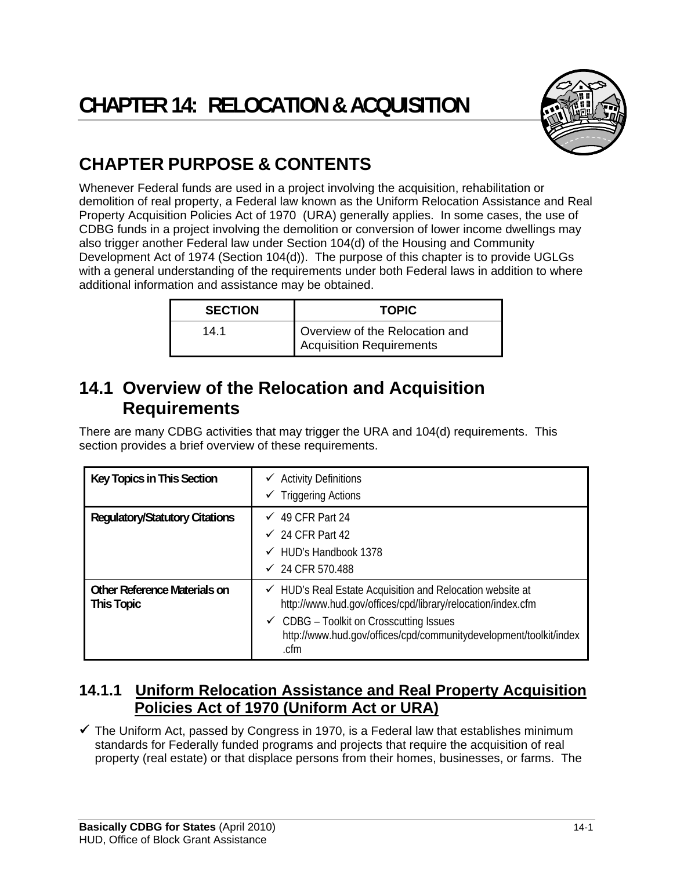

## **CHAPTER PURPOSE & CONTENTS**

Whenever Federal funds are used in a project involving the acquisition, rehabilitation or demolition of real property, a Federal law known as the Uniform Relocation Assistance and Real Property Acquisition Policies Act of 1970 (URA) generally applies. In some cases, the use of CDBG funds in a project involving the demolition or conversion of lower income dwellings may also trigger another Federal law under Section 104(d) of the Housing and Community Development Act of 1974 (Section 104(d)). The purpose of this chapter is to provide UGLGs with a general understanding of the requirements under both Federal laws in addition to where additional information and assistance may be obtained.

| <b>SECTION</b> | <b>TOPIC</b>                                               |
|----------------|------------------------------------------------------------|
| 14.1           | Overview of the Relocation and<br>Acquisition Requirements |

## **14.1 Overview of the Relocation and Acquisition Requirements**

There are many CDBG activities that may trigger the URA and 104(d) requirements. This section provides a brief overview of these requirements.

| Key Topics in This Section                               | $\checkmark$ Activity Definitions<br><b>Triggering Actions</b><br>✓                                                                                                                                                                                                    |
|----------------------------------------------------------|------------------------------------------------------------------------------------------------------------------------------------------------------------------------------------------------------------------------------------------------------------------------|
| <b>Regulatory/Statutory Citations</b>                    | $\checkmark$ 49 CFR Part 24<br>$\checkmark$ 24 CFR Part 42<br>$\checkmark$ HUD's Handbook 1378<br>$\checkmark$ 24 CFR 570.488                                                                                                                                          |
| <b>Other Reference Materials on</b><br><b>This Topic</b> | $\checkmark$ HUD's Real Estate Acquisition and Relocation website at<br>http://www.hud.gov/offices/cpd/library/relocation/index.cfm<br>$\checkmark$ CDBG – Toolkit on Crosscutting Issues<br>http://www.hud.gov/offices/cpd/communitydevelopment/toolkit/index<br>.cfm |

## **14.1.1 Uniform Relocation Assistance and Real Property Acquisition Policies Act of 1970 (Uniform Act or URA)**

 $\checkmark$  The Uniform Act, passed by Congress in 1970, is a Federal law that establishes minimum standards for Federally funded programs and projects that require the acquisition of real property (real estate) or that displace persons from their homes, businesses, or farms. The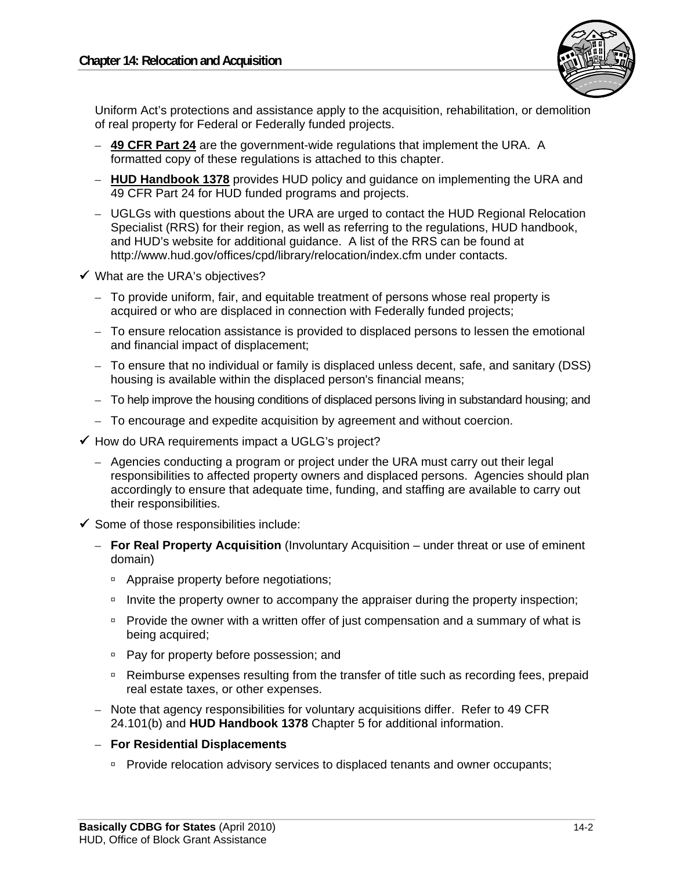

Uniform Act's protections and assistance apply to the acquisition, rehabilitation, or demolition of real property for Federal or Federally funded projects.

- **49 CFR Part 24** are the government-wide regulations that implement the URA. A formatted copy of these regulations is attached to this chapter.
- **HUD Handbook 1378** provides HUD policy and guidance on implementing the URA and 49 CFR Part 24 for HUD funded programs and projects.
- UGLGs with questions about the URA are urged to contact the HUD Regional Relocation Specialist (RRS) for their region, as well as referring to the regulations, HUD handbook, and HUD's website for additional guidance. A list of the RRS can be found at http://www.hud.gov/offices/cpd/library/relocation/index.cfm under contacts.
- $\checkmark$  What are the URA's objectives?
	- To provide uniform, fair, and equitable treatment of persons whose real property is acquired or who are displaced in connection with Federally funded projects;
	- To ensure relocation assistance is provided to displaced persons to lessen the emotional and financial impact of displacement;
	- To ensure that no individual or family is displaced unless decent, safe, and sanitary (DSS) housing is available within the displaced person's financial means;
	- To help improve the housing conditions of displaced persons living in substandard housing; and
	- To encourage and expedite acquisition by agreement and without coercion.
- $\checkmark$  How do URA requirements impact a UGLG's project?
	- Agencies conducting a program or project under the URA must carry out their legal responsibilities to affected property owners and displaced persons. Agencies should plan accordingly to ensure that adequate time, funding, and staffing are available to carry out their responsibilities.
- $\checkmark$  Some of those responsibilities include:
	- **For Real Property Acquisition** (Involuntary Acquisition under threat or use of eminent domain)
		- <sup>o</sup> Appraise property before negotiations;
		- Invite the property owner to accompany the appraiser during the property inspection;
		- **Provide the owner with a written offer of just compensation and a summary of what is** being acquired;
		- **Pay for property before possession; and**
		- □ Reimburse expenses resulting from the transfer of title such as recording fees, prepaid real estate taxes, or other expenses.
	- Note that agency responsibilities for voluntary acquisitions differ. Refer to 49 CFR 24.101(b) and **HUD Handbook 1378** Chapter 5 for additional information.
	- **For Residential Displacements** 
		- **Provide relocation advisory services to displaced tenants and owner occupants;**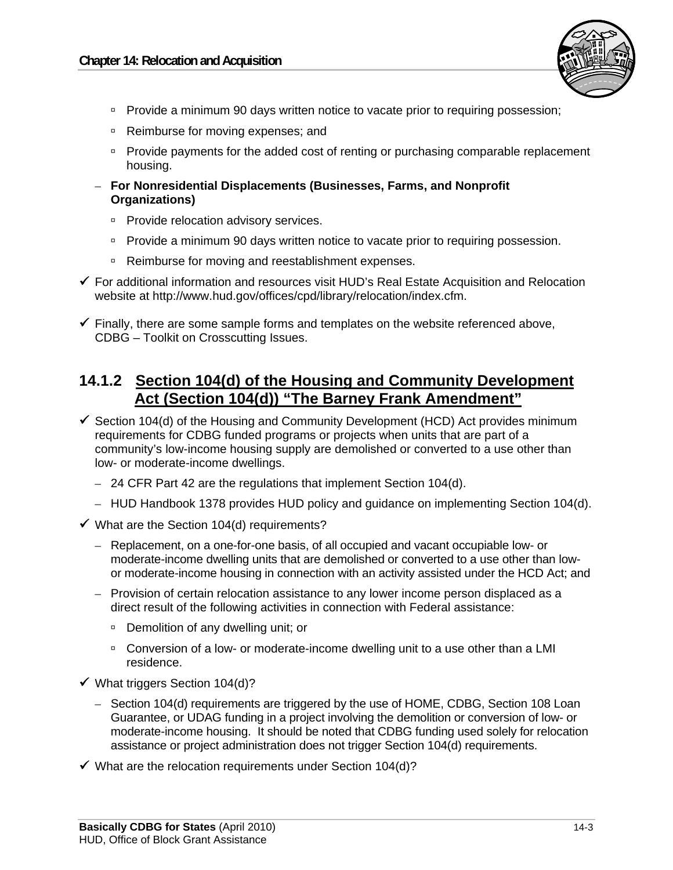

- Provide a minimum 90 days written notice to vacate prior to requiring possession;
- □ Reimburse for moving expenses; and
- **Provide payments for the added cost of renting or purchasing comparable replacement** housing.
- **For Nonresidential Displacements (Businesses, Farms, and Nonprofit Organizations)** 
	- **Provide relocation advisory services.**
	- Provide a minimum 90 days written notice to vacate prior to requiring possession.
	- □ Reimburse for moving and reestablishment expenses.
- $\checkmark$  For additional information and resources visit HUD's Real Estate Acquisition and Relocation website at http://www.hud.gov/offices/cpd/library/relocation/index.cfm.
- $\checkmark$  Finally, there are some sample forms and templates on the website referenced above, CDBG – Toolkit on Crosscutting Issues.

## **14.1.2 Section 104(d) of the Housing and Community Development Act (Section 104(d)) "The Barney Frank Amendment"**

- $\checkmark$  Section 104(d) of the Housing and Community Development (HCD) Act provides minimum requirements for CDBG funded programs or projects when units that are part of a community's low-income housing supply are demolished or converted to a use other than low- or moderate-income dwellings.
	- 24 CFR Part 42 are the regulations that implement Section 104(d).
	- HUD Handbook 1378 provides HUD policy and guidance on implementing Section 104(d).
- $\checkmark$  What are the Section 104(d) requirements?
	- Replacement, on a one-for-one basis, of all occupied and vacant occupiable low- or moderate-income dwelling units that are demolished or converted to a use other than lowor moderate-income housing in connection with an activity assisted under the HCD Act; and
	- Provision of certain relocation assistance to any lower income person displaced as a direct result of the following activities in connection with Federal assistance:
		- □ Demolition of any dwelling unit; or
		- □ Conversion of a low- or moderate-income dwelling unit to a use other than a LMI residence.
- $\checkmark$  What triggers Section 104(d)?
	- Section 104(d) requirements are triggered by the use of HOME, CDBG, Section 108 Loan Guarantee, or UDAG funding in a project involving the demolition or conversion of low- or moderate-income housing. It should be noted that CDBG funding used solely for relocation assistance or project administration does not trigger Section 104(d) requirements.
- $\checkmark$  What are the relocation requirements under Section 104(d)?